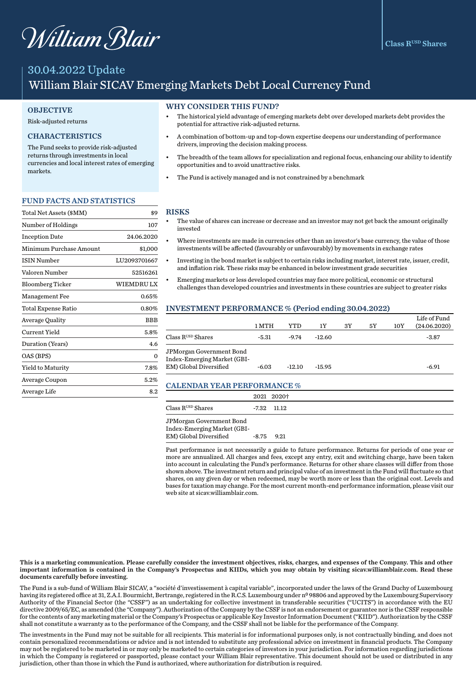# William Blair

# 30.04.2022 Update William Blair SICAV Emerging Markets Debt Local Currency Fund

## **OBJECTIVE**

#### Risk-adjusted returns

# CHARACTERISTICS

The Fund seeks to provide risk-adjusted returns through investments in local currencies and local interest rates of emerging markets.

#### FUND FACTS AND STATISTICS

| Total Net Assets (\$MM)    | \$9          |
|----------------------------|--------------|
| Number of Holdings         | 107          |
| <b>Inception Date</b>      | 24.06.2020   |
| Minimum Purchase Amount    | \$1,000      |
| <b>ISIN Number</b>         | LU2093701667 |
| Valoren Number             | 52516261     |
| <b>Bloomberg Ticker</b>    | WIEMDRU LX   |
| Management Fee             | 0.65%        |
| <b>Total Expense Ratio</b> | 0.80%        |
| Average Quality            | BBB          |
| Current Yield              | 5.8%         |
| Duration (Years)           | 4.6          |
| OAS (BPS)                  | $\Omega$     |
| Yield to Maturity          | 7.8%         |
| Average Coupon             | 5.2%         |
| Average Life               | 8.2          |

#### WHY CONSIDER THIS FUND?

- The historical yield advantage of emerging markets debt over developed markets debt provides the potential for attractive risk-adjusted returns.
- A combination of bottom-up and top-down expertise deepens our understanding of performance drivers, improving the decision making process.
- The breadth of the team allows for specialization and regional focus, enhancing our ability to identify opportunities and to avoid unattractive risks.
- The Fund is actively managed and is not constrained by a benchmark

#### RISKS

- The value of shares can increase or decrease and an investor may not get back the amount originally invested
- Where investments are made in currencies other than an investor's base currency, the value of those investments will be affected (favourably or unfavourably) by movements in exchange rates
- Investing in the bond market is subject to certain risks including market, interest rate, issuer, credit, and inflation risk. These risks may be enhanced in below investment grade securities
- Emerging markets or less developed countries may face more political, economic or structural challenges than developed countries and investments in these countries are subject to greater risks

#### INVESTMENT PERFORMANCE % (Period ending 30.04.2022)

|                                                                                   | 1 MTH   | YTD      | 1Y       | 3Y | 5Υ | 10Y | Life of Fund<br>(24.06.2020) |
|-----------------------------------------------------------------------------------|---------|----------|----------|----|----|-----|------------------------------|
| Class RUSD Shares                                                                 | -5.31   | $-9.74$  | $-12.60$ |    |    |     | $-3.87$                      |
| JPMorgan Government Bond<br>Index-Emerging Market (GBI-<br>EM) Global Diversified | $-6.03$ | $-12.10$ | $-15.95$ |    |    |     | $-6.91$                      |

### CALENDAR YEAR PERFORMANCE %

|                                      |              | 2021 2020†    |  |
|--------------------------------------|--------------|---------------|--|
| Class $\mathrm{R}^\text{USD}$ Shares |              | $-7.32$ 11.12 |  |
| JPMorgan Government Bond             |              |               |  |
| Index-Emerging Market (GBI-          |              |               |  |
| EM) Global Diversified               | $-8.75$ 9.21 |               |  |

Past performance is not necessarily a guide to future performance. Returns for periods of one year or more are annualized. All charges and fees, except any entry, exit and switching charge, have been taken into account in calculating the Fund's performance. Returns for other share classes will differ from those shown above. The investment return and principal value of an investment in the Fund will fluctuate so that shares, on any given day or when redeemed, may be worth more or less than the original cost. Levels and bases for taxation may change. For the most current month-end performance information, please visit our web site at sicav.williamblair.com.

This is a marketing communication. Please carefully consider the investment objectives, risks, charges, and expenses of the Company. This and other important information is contained in the Company's Prospectus and KIIDs, which you may obtain by visiting sicav.williamblair.com. Read these documents carefully before investing.

The Fund is a sub-fund of William Blair SICAV, a "société d'investissement à capital variable", incorporated under the laws of the Grand Duchy of Luxembourg having its registered office at 31, Z.A.I. Bourmicht, Bertrange, registered in the R.C.S. Luxembourg under nº 98806 and approved by the Luxembourg Supervisory Authority of the Financial Sector (the "CSSF") as an undertaking for collective investment in transferable securities ("UCITS") in accordance with the EU directive 2009/65/EC, as amended (the "Company"). Authorization of the Company by the CSSF is not an endorsement or guarantee nor is the CSSF responsible for the contents of any marketing material or the Company's Prospectus or applicable Key Investor Information Document ("KIID"). Authorization by the CSSF shall not constitute a warranty as to the performance of the Company, and the CSSF shall not be liable for the performance of the Company.

The investments in the Fund may not be suitable for all recipients. This material is for informational purposes only, is not contractually binding, and does not contain personalized recommendations or advice and is not intended to substitute any professional advice on investment in financial products. The Company may not be registered to be marketed in or may only be marketed to certain categories of investors in your jurisdiction. For information regarding jurisdictions in which the Company is registered or passported, please contact your William Blair representative. This document should not be used or distributed in any jurisdiction, other than those in which the Fund is authorized, where authorization for distribution is required.